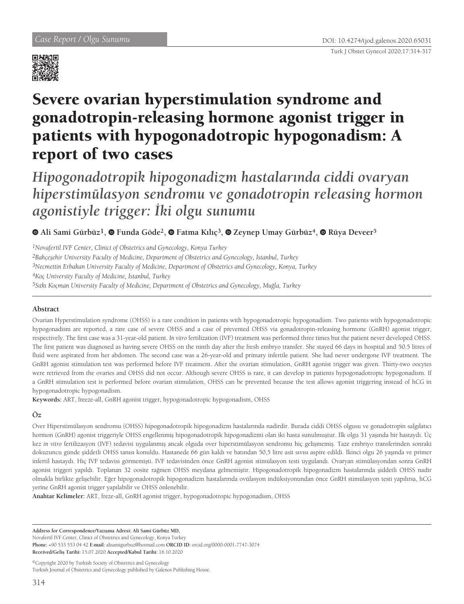

# Severe ovarian hyperstimulation syndrome and gonadotropin-releasing hormone agonist trigger in patients with hypogonadotropic hypogonadism: A report of two cases

*Hipogonadotropik hipogonadizm hastalarında ciddi ovaryan hiperstimülasyon sendromu ve gonadotropin releasing hormon agonistiyle trigger: İki olgu sunumu*

**Ali Sami Gürbüz1,Funda Göde2,Fatma Kılıç<sup>3</sup>,Zeynep Umay Gürbüz4,Rüya Deveer5**

*1Novafertil IVF Center, Clinict of Obstetrics and Gynecology, Konya Turkey 2Bahçeşehir University Faculty of Medicine, Department of Obstetrics and Gynecology, İstanbul, Turkey 3Necmettin Erbakan University Faculty of Medicine, Department of Obstetrics and Gynecology, Konya, Turkey 4Koç University Faculty of Medicine, İstanbul, Turkey 5Sıtkı Koçman University Faculty of Medicine, Department of Obstetrics and Gynecology, Muğla, Turkey*

### **Abstract**

Ovarian Hyperstimulation syndrome (OHSS) is a rare condition in patients with hypogonadotropic hypogonadism. Two patients with hypogonadotropic hypogonadism are reported, a rare case of severe OHSS and a case of prevented OHSS via gonadotropin-releasing hormone (GnRH) agonist trigger, respectively. The first case was a 31-year-old patient. *In vitro* fertilization (IVF) treatment was performed three times but the patient never developed OHSS. The first patient was diagnosed as having severe OHSS on the ninth day after the fresh embryo transfer. She stayed 66 days in hospital and 50.5 litres of fluid were aspirated from her abdomen. The second case was a 26-year-old and primary infertile patient. She had never undergone IVF treatment. The GnRH agonist stimulation test was performed before IVF treatment. After the ovarian stimulation, GnRH agonist trigger was given. Thirty-two oocytes were retrieved from the ovaries and OHSS did not occur. Although severe OHSS is rare, it can develop in patients hypogonadotropic hypogonadism. If a GnRH stimulation test is performed before ovarian stimulation, OHSS can be prevented because the test allows agonist triggering instead of hCG in hypogonadotropic hypogonadism.

**Keywords:** ART, freeze-all, GnRH agonist trigger, hypogonadotropic hypogonadism, OHSS

## **Öz**

Over Hiperstimülasyon sendromu (OHSS) hipogonadotropik hipogonadizm hastalarında nadirdir. Burada ciddi OHSS olgusu ve gonadotropin salgılatıcı hormon (GnRH) agonist triggeriyle OHSS engellenmiş hipogonadotropik hipogonadizmi olan iki hasta sunulmuştur. İlk olgu 31 yaşında bir hastaydı. Üç kez *in vitro* fertilizasyon (IVF) tedavisi uygulanmış ancak olguda over hiperstimülasyon sendromu hiç gelişmemiş. Taze embriyo transferinden sonraki dokuzuncu günde şiddetli OHSS tanısı konuldu. Hastanede 66 gün kaldı ve batından 50,5 litre asit sıvısı aspire edildi. İkinci olgu 26 yaşında ve primer infertil hastaydı. Hiç IVF tedavisi görmemişti. IVF tedavisinden önce GnRH agonist stimülasyon testi uygulandı. Ovaryan stimülasyondan sonra GnRH agonist triggeri yapıldı. Toplanan 32 oosite rağmen OHSS meydana gelmemiştir. Hipogonadotropik hipogonadizm hastalarında şiddetli OHSS nadir olmakla birlikte gelişebilir. Eğer hipogonadotropik hipogonadizm hastalarında ovülasyon indüksiyonundan önce GnRH stimülasyon testi yapılırsa, hCG yerine GnRH agonist trigger yapılabilir ve OHSS önlenebilir.

**Anahtar Kelimeler:** ART, freze-all, GnRH agonist trigger, hypogonadotropic hypogonadism, OHSS

**Address for Correspondence/Yazışma Adresi: Ali Sami Gürbüz MD,** 

Novafertil IVF Center, Clinict of Obstetrics and Gynecology, Konya Turkey

**Phone:** +90 533 553 04 42 **E-mail:** alisamigurbuz@hotmail.com **ORCID ID:** orcid.org/0000-0001-7747-3074 **Received/Geliş Tarihi:** 15.07.2020 **Accepted/Kabul Tarihi:** 16.10.2020

©Copyright 2020 by Turkish Society of Obstetrics and Gynecology Turkish Journal of Obstetrics and Gynecology published by Galenos Publishing House.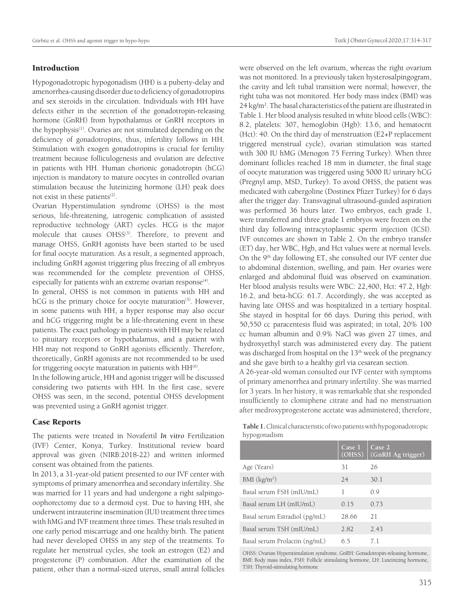#### Introduction

Hypogonadotropic hypogonadism (HH) is a puberty-delay and amenorrhea-causing disorder due to deficiency of gonadotropins and sex steroids in the circulation. Individuals with HH have defects either in the secretion of the gonadotropin-releasing hormone (GnRH) from hypothalamus or GnRH receptors in the hypophysis<sup>(1)</sup>. Ovaries are not stimulated depending on the deficiency of gonadotropins, thus, infertility follows in HH. Stimulation with exogen gonadotropins is crucial for fertility treatment because folliculogenesis and ovulation are defective in patients with HH. Human chorionic gonadotropin (hCG) injection is mandatory to mature oocytes in controlled ovarian stimulation because the luteinizing hormone (LH) peak does not exist in these patients<sup>(2)</sup>.

Ovarian Hyperstimulation syndrome (OHSS) is the most serious, life-threatening, iatrogenic complication of assisted reproductive technology (ART) cycles. HCG is the major molecule that causes OHSS<sup>(3)</sup>. Therefore, to prevent and manage OHSS, GnRH agonists have been started to be used for final oocyte maturation. As a result, a segmented approach, including GnRH agonist triggering plus freezing of all embryos was recommended for the complete prevention of OHSS, especially for patients with an extreme ovarian response<sup>(4)</sup>.

In general, OHSS is not common in patients with HH and hCG is the primary choice for oocyte maturation<sup>(5)</sup>. However, in some patients with HH, a hyper response may also occur and hCG triggering might be a life-threatening event in these patients. The exact pathology in patients with HH may be related to pituitary receptors or hypothalamus, and a patient with HH may not respond to GnRH agonists efficiently. Therefore, theoretically, GnRH agonists are not recommended to be used for triggering oocyte maturation in patients with  $HH<sup>(6)</sup>$ .

In the following article, HH and agonist trigger will be discussed considering two patients with HH. In the first case, severe OHSS was seen, in the second, potential OHSS development was prevented using a GnRH agonist trigger.

#### Case Reports

The patients were treated in Novafertil *In vitro* Fertilization (IVF) Center, Konya, Turkey. Institutional review board approval was given (NIRB:2018-22) and written informed consent was obtained from the patients.

In 2013, a 31-year-old patient presented to our IVF center with symptoms of primary amenorrhea and secondary infertility. She was married for 11 years and had undergone a right salpingooophorectomy due to a dermoid cyst. Due to having HH, she underwent intrauterine insemination (IUI) treatment three times with hMG and IVF treatment three times. These trials resulted in one early period miscarriage and one healthy birth. The patient had never developed OHSS in any step of the treatments. To regulate her menstrual cycles, she took an estrogen (E2) and progesterone (P) combination. After the examination of the patient, other than a normal-sized uterus, small antral follicles were observed on the left ovarium, whereas the right ovarium was not monitored. In a previously taken hysterosalpingogram, the cavity and left tubal transition were normal; however, the right tuba was not monitored. Her body mass index (BMI) was 24 kg/m<sup>2</sup>. The basal characteristics of the patient are illustrated in Table 1. Her blood analysis resulted in white blood cells (WBC): 8.2, platelets: 307, hemoglobin (Hgb): 13.6, and hematocrit (Hct): 40. On the third day of menstruation (E2+P replacement triggered menstrual cycle), ovarian stimulation was started with 300 IU hMG (Menogon 75 Ferring Turkey). When three dominant follicles reached 18 mm in diameter, the final stage of oocyte maturation was triggered using 5000 IU urinary hCG (Pregnyl amp, MSD, Turkey). To avoid OHSS, the patient was medicated with cabergoline (Dostinex Pfizer Turkey) for 6 days after the trigger day. Transvaginal ultrasound-guided aspiration was performed 36 hours later. Two embryos, each grade 1, were transferred and three grade 1 embryos were frozen on the third day following intracytoplasmic sperm injection (ICSI). IVF outcomes are shown in Table 2. On the embryo transfer (ET) day, her WBC, Hgb, and Hct values were at normal levels. On the 9th day following ET, she consulted our IVF center due to abdominal distention, swelling, and pain. Her ovaries were enlarged and abdominal fluid was observed on examination. Her blood analysis results were WBC: 22,400, Hct: 47.2, Hgb: 16.2, and beta-hCG: 61.7. Accordingly, she was accepted as having late OHSS and was hospitalized in a tertiary hospital. She stayed in hospital for 66 days. During this period, with 50,550 cc paracentesis fluid was aspirated; in total, 20% 100 cc human albumin and 0.9% NaCl was given 27 times, and hydroxyethyl starch was administered every day. The patient was discharged from hospital on the 13<sup>th</sup> week of the pregnancy and she gave birth to a healthy girl via cesarean section.

A 26-year-old woman consulted our IVF center with symptoms of primary amenorrhea and primary infertility. She was married for 3 years. In her history, it was remarkable that she responded insufficiently to clomiphene citrate and had no menstruation after medroxyprogesterone acetate was administered; therefore,

**Table 1.** Clinical characteristic of two patients with hypogonadotropic hypogonadism

|                               | Case 1<br>(OHSS) | Case 2<br>(GnRH Ag trigger) |
|-------------------------------|------------------|-----------------------------|
| Age (Years)                   | 31               | 26                          |
| BMI (kg/m <sup>2</sup> )      | 24               | 30.1                        |
| Basal serum FSH (mIU/mL)      | 1                | 0.9                         |
| Basal serum LH (mIU/mL)       | 0.15             | 0.73                        |
| Basal serum Estradiol (pg/mL) | 28.66            | 21                          |
| Basal serum TSH (mIU/mL)      | 2.82             | 2.43                        |
| Basal serum Prolactin (ng/mL) | 65               | 71                          |

OHSS: Ovarian Hyperstimulation syndrome, GnRH: Gonadotropin-releasing hormone, BMI: Body mass index, FSH: Follicle stimulating hormone, LH: Luteinizing hormone, TSH: Thyroid-stimulating hormone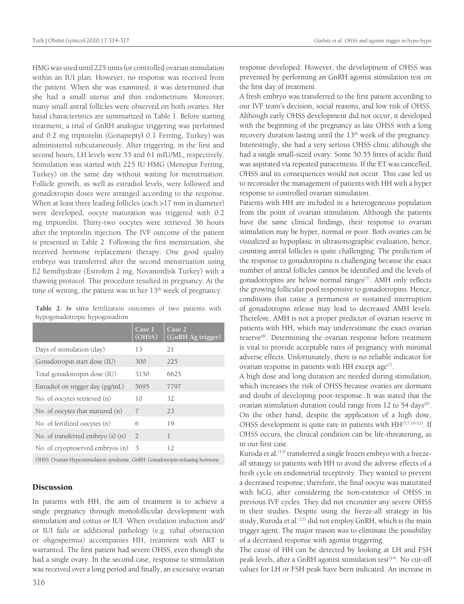HMG was used until 225 units for controlled ovarian stimulation within an IUI plan. However, no response was received from the patient. When she was examined, it was determined that she had a small uterus and thin endometrium. Moreover, many small antral follicles were observed on both ovaries. Her basal characteristics are summarized in Table 1. Before starting treatment, a trial of GnRH analogue triggering was performed and 0.2 mg triptorelin (Gonapeptyl 0.1 Ferring, Turkey) was administered subcutaneously. After triggering, in the first and second hours, LH levels were 55 and 61 mIU/ML, respectively. Stimulation was started with 225 IU HMG (Menopur Ferring, Turkey) on the same day without waiting for menstruation. Follicle growth, as well as estradiol levels, were followed and gonadotropin doses were arranged according to the response. When at least three leading follicles (each >17 mm in diameter) were developed, oocyte maturation was triggered with 0.2 mg triptorelin. Thirty-two oocytes were retrieved 36 hours after the triptorelin injection. The IVF outcome of the patient is presented in Table 2. Following the first menstruation, she received hormone replacement therapy. One good quality embryo was transferred after the second menstruation using E2 hemihydrate (Estrofem 2 mg, Novanordisk Turkey) with a thawing protocol. This procedure resulted in pregnancy. At the time of writing, the patient was in her  $13<sup>th</sup>$  week of pregnancy.

**Table 2.** *In vitro* fertilization outcomes of two patients with hypogonadotropic hypogonadism

|                                    | Case 1<br>(OHSS) | Case 2<br>(GnRH Ag trigger) |
|------------------------------------|------------------|-----------------------------|
| Days of stimulation (day)          | 13               | 21                          |
| Gonadotropin start dose (IU)       | 300              | 225                         |
| Total gonadotropin dose (IU)       | 3150             | 6625                        |
| Estradiol on trigger day (pg/mL)   | 5695             | 7797                        |
| No. of oocytes retrieved (n)       | 10               | 32                          |
| No. of oocytes that matured (n)    | 7                | 23                          |
| No. of fertilized oocytes (n)      | 6                | 19                          |
| No. of transferred embryo $(s)(n)$ | $\overline{2}$   | 1                           |
| No. of cryopreserved embryos (n)   | 3                | 12                          |
|                                    |                  |                             |

OHSS: Ovarian Hyperstimulation syndrome, GnRH: Gonadotropin-releasing hormone

#### **Discussion**

In patients with HH, the aim of treatment is to achieve a single pregnancy through monofollicular development with stimulation and coitus or IUI. When ovulation induction and/ or IUI fails or additional pathology (e.g. tubal obstruction or oligospermia) accompanies HH, treatment with ART is warranted. The first patient had severe OHSS, even though she had a single ovary. In the second case, response to stimulation was received over a long period and finally, an excessive ovarian

response developed. However, the development of OHSS was prevented by performing an GnRH agonist stimulation test on the first day of treatment.

A fresh embryo was transferred to the first patient according to our IVF team's decision, social reasons, and low risk of OHSS. Although early OHSS development did not occur, it developed with the beginning of the pregnancy as late OHSS with a long recovery duration lasting until the 13<sup>th</sup> week of the pregnancy. Interestingly, she had a very serious OHSS clinic although she had a single small-sized ovary. Some 50.55 litres of acidic fluid was aspirated via repeated paracentesis. If the ET was cancelled, OHSS and its consequences would not occur. This case led us to reconsider the management of patients with HH with a hyper response to controlled ovarian stimulation.

Patients with HH are included in a heterogeneous population from the point of ovarian stimulation. Although the patients have the same clinical findings, their response to ovarian stimulation may be hyper, normal or poor. Both ovaries can be visualized as hypoplasic in ultrasonographic evaluation, hence, counting antral follicles is quite challenging. The prediction of the response to gonadotropins is challenging because the exact number of antral follicles cannot be identified and the levels of gonadotropins are below normal ranges<sup> $(7)$ </sup>. AMH only reflects the growing follicular pool responsive to gonadotropins. Hence, conditions that cause a permanent or sustained interruption of gonadotropin release may lead to decreased AMH levels. Therefore, AMH is not a proper predictor of ovarian reserve in patients with HH, which may underestimate the exact ovarian reserve<sup>(8)</sup>. Determining the ovarian response before treatment is vital to provide acceptable rates of pregnancy with minimal adverse effects. Unfortunately, there is no reliable indicator for ovarian response in patients with HH except age $(7)$ .

A high dose and long duration are needed during stimulation, which increases the risk of OHSS because ovaries are dormant and doubt of developing poor-response. It was stated that the ovarian stimulation duration could range from 12 to 54 days<sup>(9)</sup>. On the other hand, despite the application of a high dose, OHSS development is quite rare in patients with HH<sup>(5,7,10-12)</sup>. If OHSS occurs, the clinical condition can be life-threatening, as in our first case.

Kuroda et al.<sup>(13)</sup> transferred a single frozen embryo with a freezeall strategy to patients with HH to avoid the adverse effects of a fresh cycle on endometrial receptivity. They wanted to prevent a decreased response; therefore, the final oocyte was maturated with hCG, after considering the non-existence of OHSS in previous IVF cycles. They did not encounter any severe OHSS in their studies. Despite using the freeze-all strategy in his study, Kuroda et al.<sup>(13)</sup> did not employ GnRH, which is the main trigger agent. The major reason was to eliminate the possibility of a decreased response with agonist triggering.

The cause of HH can be detected by looking at LH and FSH peak levels, after a GnRH agonist stimulation test<sup>(14)</sup>. No cut-off values for LH or FSH peak have been indicated. An increase in